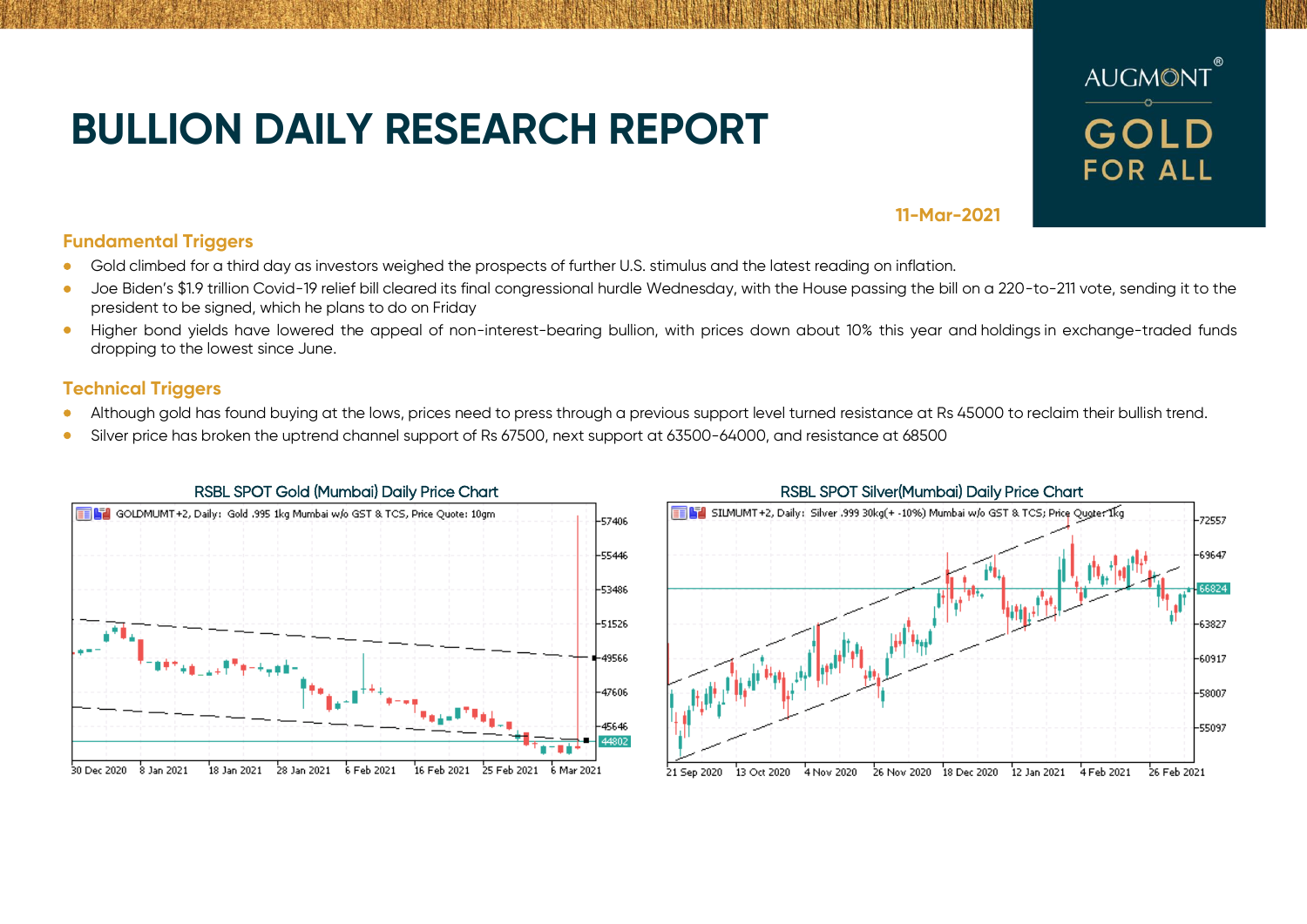## **BULLION DAILY RESEARCH REPORT**



## **11-Mar-2021**

## **Fundamental Triggers**

- Gold climbed for a third day as investors weighed the prospects of further U.S. stimulus and the latest reading on inflation.
- Joe Biden's \$1.9 trillion Covid-19 relief bill cleared its final congressional hurdle Wednesday, with the House passing the bill on a 220-to-211 vote, sending it to the president to be signed, which he plans to do on Friday
- Higher bond yields have lowered the appeal of non-interest-bearing bullion, with prices down about 10% this year and holdings in exchange-traded funds dropping to the lowest since June.

## **Technical Triggers**

- Although gold has found buying at the lows, prices need to press through a previous support level turned resistance at Rs 45000 to reclaim their bullish trend.
- Silver price has broken the uptrend channel support of Rs 67500, next support at 63500-64000, and resistance at 68500



# **BEL** SILMUMT+2, Daily: Silver 999 30kg(+ -10%) Mumbai w/o GST & TCS: Price Ougter Ikg